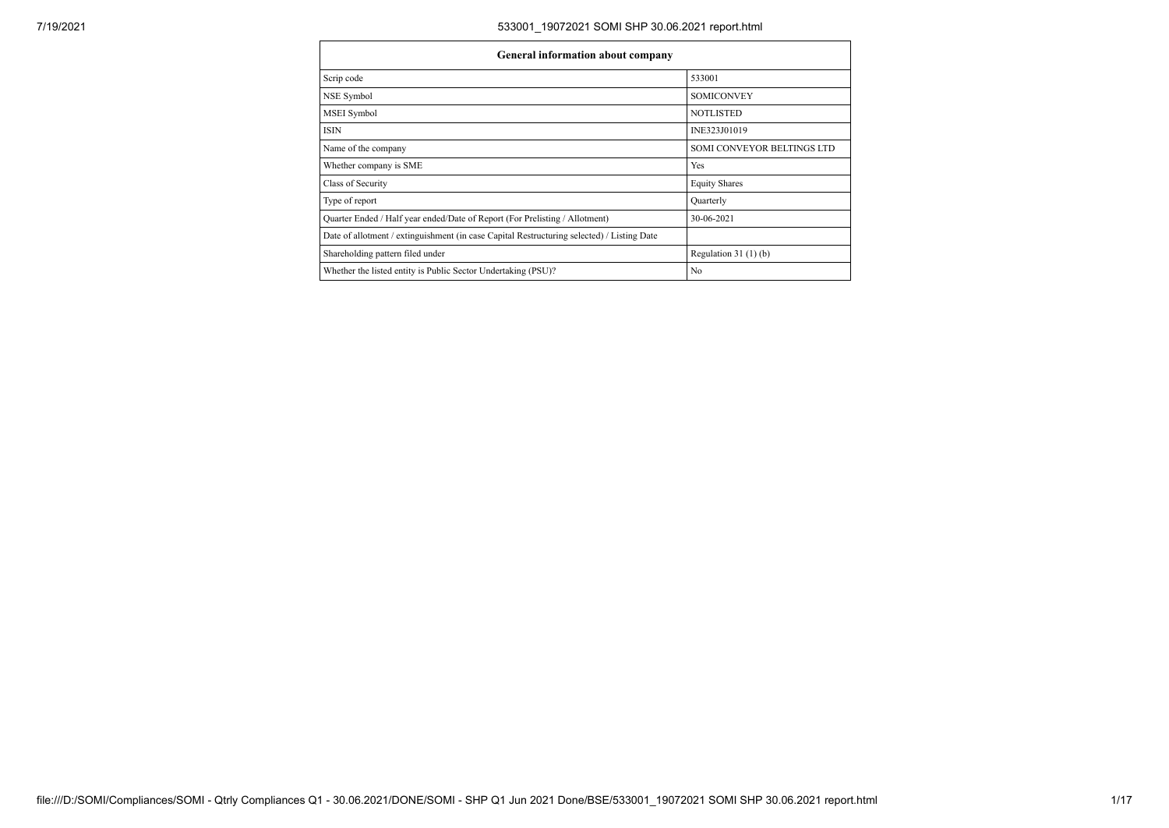| General information about company                                                          |                            |  |  |  |  |  |
|--------------------------------------------------------------------------------------------|----------------------------|--|--|--|--|--|
| Scrip code                                                                                 | 533001                     |  |  |  |  |  |
| NSE Symbol                                                                                 | <b>SOMICONVEY</b>          |  |  |  |  |  |
| <b>MSEI</b> Symbol                                                                         | <b>NOTLISTED</b>           |  |  |  |  |  |
| <b>ISIN</b>                                                                                | INE323J01019               |  |  |  |  |  |
| Name of the company                                                                        | SOMI CONVEYOR BELTINGS LTD |  |  |  |  |  |
| Whether company is SME                                                                     | Yes                        |  |  |  |  |  |
| Class of Security                                                                          | <b>Equity Shares</b>       |  |  |  |  |  |
| Type of report                                                                             | Quarterly                  |  |  |  |  |  |
| Quarter Ended / Half year ended/Date of Report (For Prelisting / Allotment)                | 30-06-2021                 |  |  |  |  |  |
| Date of allotment / extinguishment (in case Capital Restructuring selected) / Listing Date |                            |  |  |  |  |  |
| Shareholding pattern filed under                                                           | Regulation $31(1)(b)$      |  |  |  |  |  |
| Whether the listed entity is Public Sector Undertaking (PSU)?                              | N <sub>0</sub>             |  |  |  |  |  |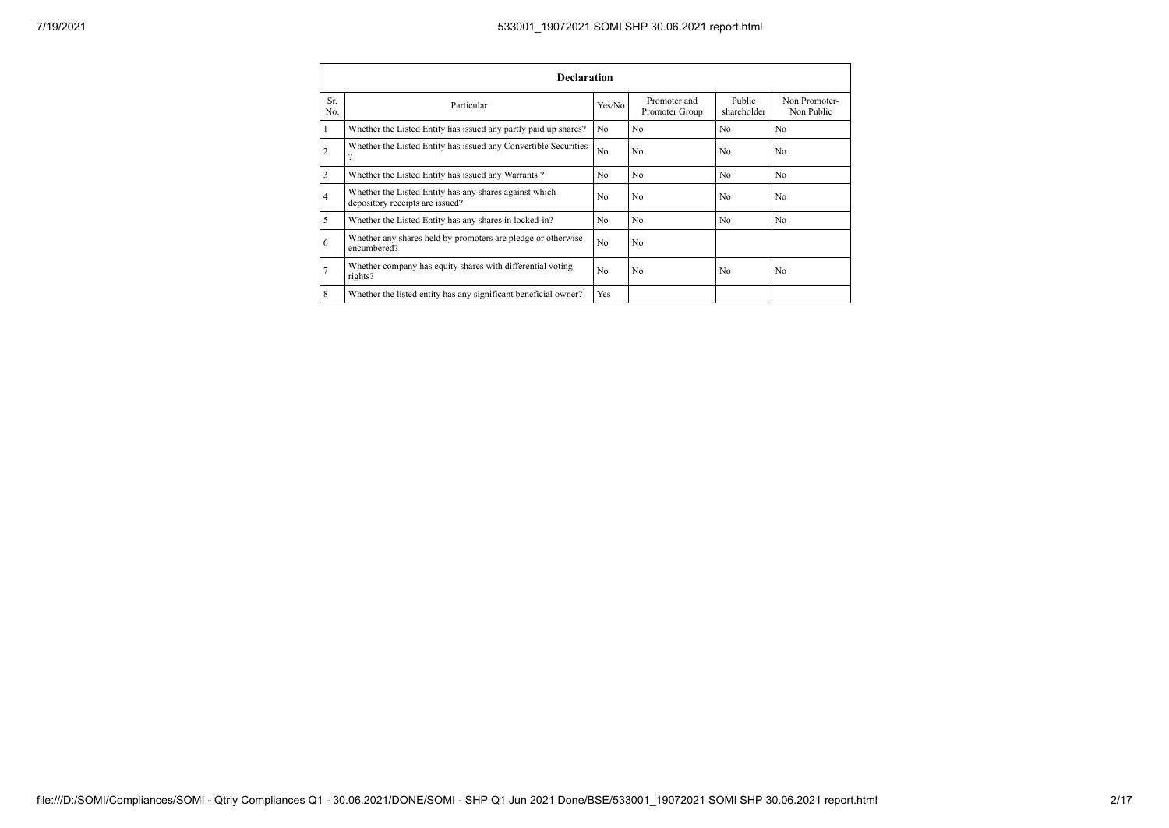| <b>Declaration</b> |                                                                                           |                |                                |                       |                             |  |  |  |
|--------------------|-------------------------------------------------------------------------------------------|----------------|--------------------------------|-----------------------|-----------------------------|--|--|--|
| Sr.<br>No.         | Particular                                                                                | Yes/No         | Promoter and<br>Promoter Group | Public<br>shareholder | Non Promoter-<br>Non Public |  |  |  |
| 1                  | Whether the Listed Entity has issued any partly paid up shares?                           | N <sub>0</sub> | N <sub>0</sub>                 | N <sub>0</sub>        | N <sub>0</sub>              |  |  |  |
| $\overline{2}$     | Whether the Listed Entity has issued any Convertible Securities<br>$\Omega$               | N <sub>0</sub> | N <sub>0</sub>                 | N <sub>0</sub>        | N <sub>0</sub>              |  |  |  |
| 3                  | Whether the Listed Entity has issued any Warrants?                                        | N <sub>0</sub> | N <sub>0</sub>                 | N <sub>0</sub>        | N <sub>0</sub>              |  |  |  |
| $\overline{4}$     | Whether the Listed Entity has any shares against which<br>depository receipts are issued? | No             | N <sub>0</sub>                 | N <sub>0</sub>        | N <sub>0</sub>              |  |  |  |
| 5                  | Whether the Listed Entity has any shares in locked-in?                                    | N <sub>0</sub> | N <sub>0</sub>                 | N <sub>0</sub>        | N <sub>0</sub>              |  |  |  |
| 6                  | Whether any shares held by promoters are pledge or otherwise<br>encumbered?               | N <sub>0</sub> | N <sub>0</sub>                 |                       |                             |  |  |  |
| $\tau$             | Whether company has equity shares with differential voting<br>rights?                     | N <sub>0</sub> | N <sub>0</sub>                 | N <sub>0</sub>        | N <sub>0</sub>              |  |  |  |
| 8                  | Whether the listed entity has any significant beneficial owner?                           | Yes            |                                |                       |                             |  |  |  |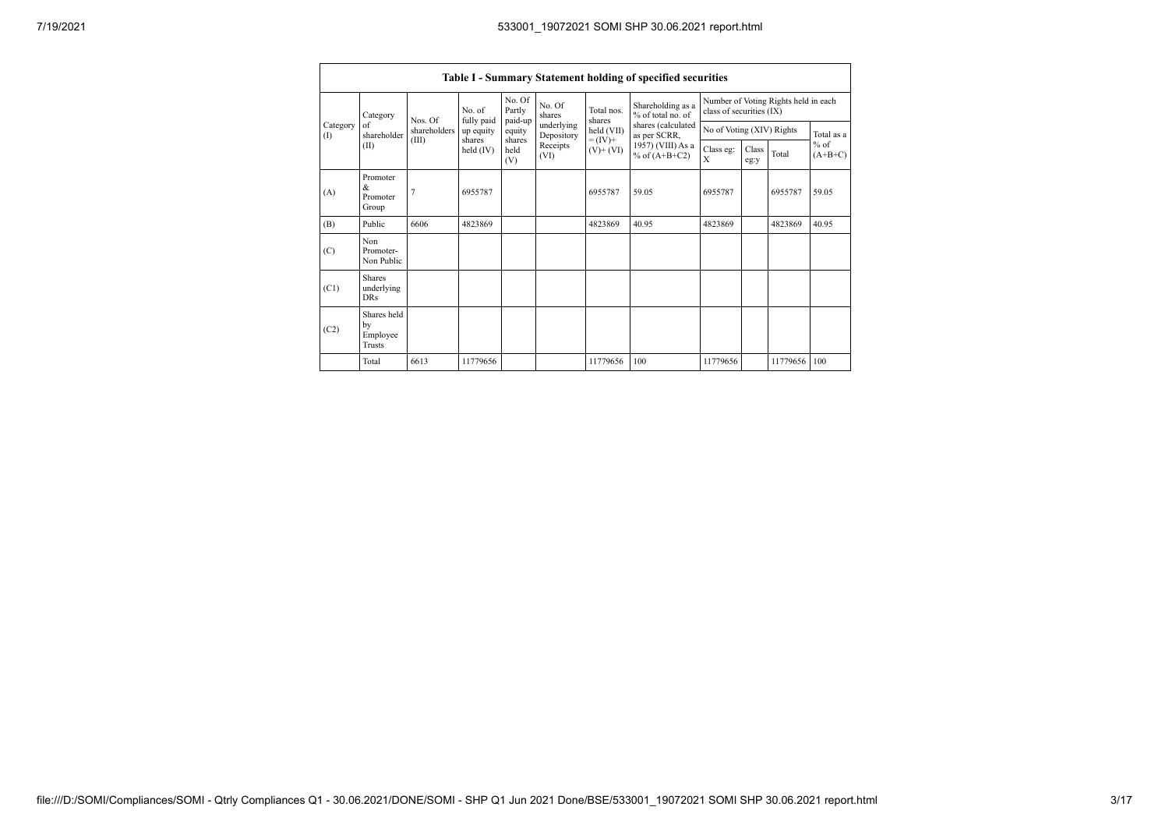|                 | Table I - Summary Statement holding of specified securities |              |                                                                  |                                      |                          |                                        |                                                                  |                           |  |              |            |
|-----------------|-------------------------------------------------------------|--------------|------------------------------------------------------------------|--------------------------------------|--------------------------|----------------------------------------|------------------------------------------------------------------|---------------------------|--|--------------|------------|
| Category        | Nos. Of                                                     | No of        | No. Of<br>Partly<br>paid-up                                      | No. Of<br>shares                     | Total nos.<br>shares     | Shareholding as a<br>% of total no. of | Number of Voting Rights held in each<br>class of securities (IX) |                           |  |              |            |
| Category<br>(1) | of<br>shareholder                                           | shareholders | fully paid<br>up equity<br>shares                                | equity<br>shares                     | underlying<br>Depository | held (VII)<br>$= (IV) +$               | shares (calculated<br>as per SCRR,                               | No of Voting (XIV) Rights |  |              | Total as a |
|                 | (II)                                                        | (III)        | Receipts<br>held $(IV)$<br>held<br>$(V)$ + $(VI)$<br>(VI)<br>(V) | 1957) (VIII) As a<br>% of $(A+B+C2)$ | Class eg:<br>X           | Class<br>eg:y                          | Total                                                            | $%$ of<br>$(A+B+C)$       |  |              |            |
| (A)             | Promoter<br>&<br>Promoter<br>Group                          |              | 6955787                                                          |                                      |                          | 6955787                                | 59.05                                                            | 6955787                   |  | 6955787      | 59.05      |
| (B)             | Public                                                      | 6606         | 4823869                                                          |                                      |                          | 4823869                                | 40.95                                                            | 4823869                   |  | 4823869      | 40.95      |
| (C)             | Non<br>Promoter-<br>Non Public                              |              |                                                                  |                                      |                          |                                        |                                                                  |                           |  |              |            |
| (C1)            | Shares<br>underlying<br><b>DRs</b>                          |              |                                                                  |                                      |                          |                                        |                                                                  |                           |  |              |            |
| (C2)            | Shares held<br>by<br>Employee<br>Trusts                     |              |                                                                  |                                      |                          |                                        |                                                                  |                           |  |              |            |
|                 | Total                                                       | 6613         | 11779656                                                         |                                      |                          | 11779656                               | 100                                                              | 11779656                  |  | 11779656 100 |            |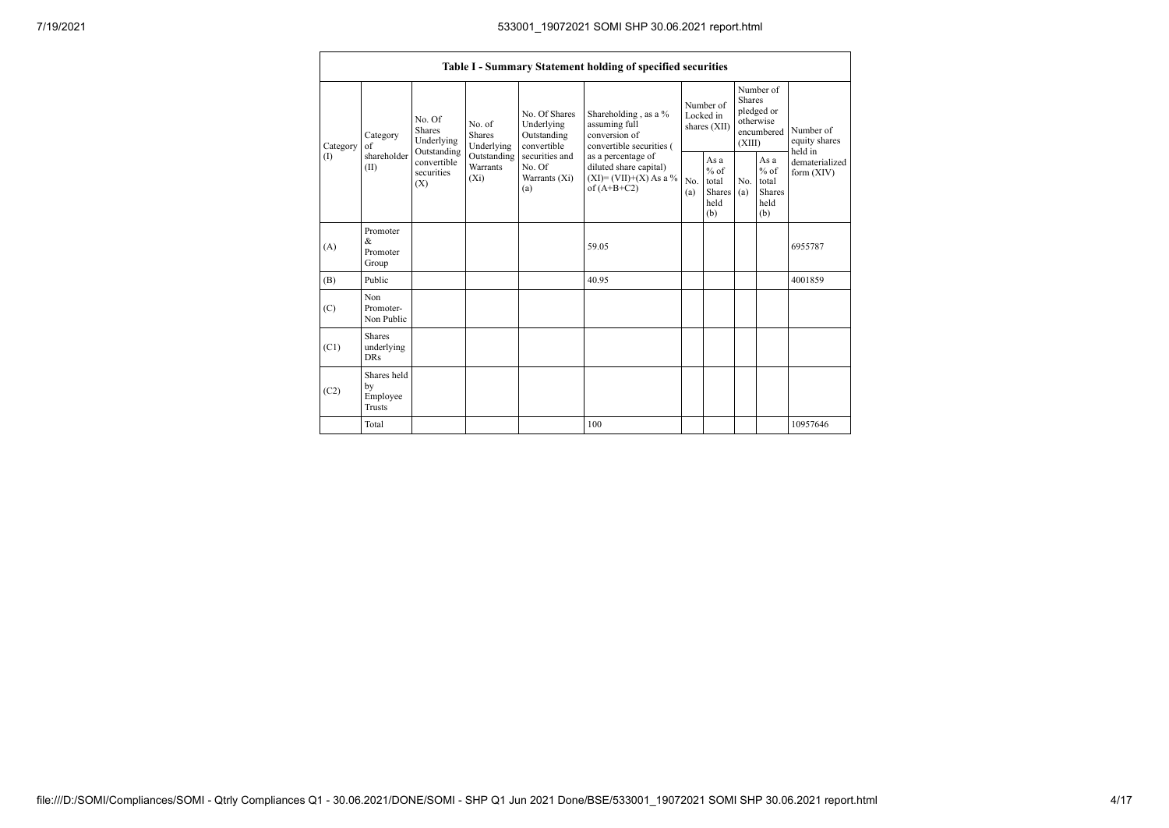|                               | Table I - Summary Statement holding of specified securities |                                                                                          |                                                                             |                                                                                                               |                                                                                                                                                                                       |                                        |                                                         |                                                                               |                                                  |                                       |
|-------------------------------|-------------------------------------------------------------|------------------------------------------------------------------------------------------|-----------------------------------------------------------------------------|---------------------------------------------------------------------------------------------------------------|---------------------------------------------------------------------------------------------------------------------------------------------------------------------------------------|----------------------------------------|---------------------------------------------------------|-------------------------------------------------------------------------------|--------------------------------------------------|---------------------------------------|
| Category<br>of<br>(1)<br>(II) | Category                                                    | No. Of<br><b>Shares</b><br>Underlying<br>Outstanding<br>convertible<br>securities<br>(X) | No. of<br><b>Shares</b><br>Underlying<br>Outstanding<br>Warrants<br>$(X_i)$ | No. Of Shares<br>Underlying<br>Outstanding<br>convertible<br>securities and<br>No. Of<br>Warrants (Xi)<br>(a) | Shareholding , as a $\%$<br>assuming full<br>conversion of<br>convertible securities (<br>as a percentage of<br>diluted share capital)<br>$(XI) = (VII)+(X) As a \%$<br>of $(A+B+C2)$ | Number of<br>Locked in<br>shares (XII) |                                                         | Number of<br><b>Shares</b><br>pledged or<br>otherwise<br>encumbered<br>(XIII) |                                                  | Number of<br>equity shares<br>held in |
|                               | shareholder                                                 |                                                                                          |                                                                             |                                                                                                               |                                                                                                                                                                                       | N <sub>0</sub><br>(a)                  | As a<br>$%$ of<br>total<br><b>Shares</b><br>held<br>(b) | N <sub>0</sub><br>(a)                                                         | As a<br>$%$ of<br>total<br>Shares<br>held<br>(b) | dematerialized<br>form (XIV)          |
| (A)                           | Promoter<br>&<br>Promoter<br>Group                          |                                                                                          |                                                                             |                                                                                                               | 59.05                                                                                                                                                                                 |                                        |                                                         |                                                                               |                                                  | 6955787                               |
| (B)                           | Public                                                      |                                                                                          |                                                                             |                                                                                                               | 40.95                                                                                                                                                                                 |                                        |                                                         |                                                                               |                                                  | 4001859                               |
| (C)                           | Non<br>Promoter-<br>Non Public                              |                                                                                          |                                                                             |                                                                                                               |                                                                                                                                                                                       |                                        |                                                         |                                                                               |                                                  |                                       |
| (C1)                          | <b>Shares</b><br>underlying<br><b>DRs</b>                   |                                                                                          |                                                                             |                                                                                                               |                                                                                                                                                                                       |                                        |                                                         |                                                                               |                                                  |                                       |
| (C2)                          | Shares held<br>by<br>Employee<br><b>Trusts</b>              |                                                                                          |                                                                             |                                                                                                               |                                                                                                                                                                                       |                                        |                                                         |                                                                               |                                                  |                                       |
|                               | Total                                                       |                                                                                          |                                                                             |                                                                                                               | 100                                                                                                                                                                                   |                                        |                                                         |                                                                               |                                                  | 10957646                              |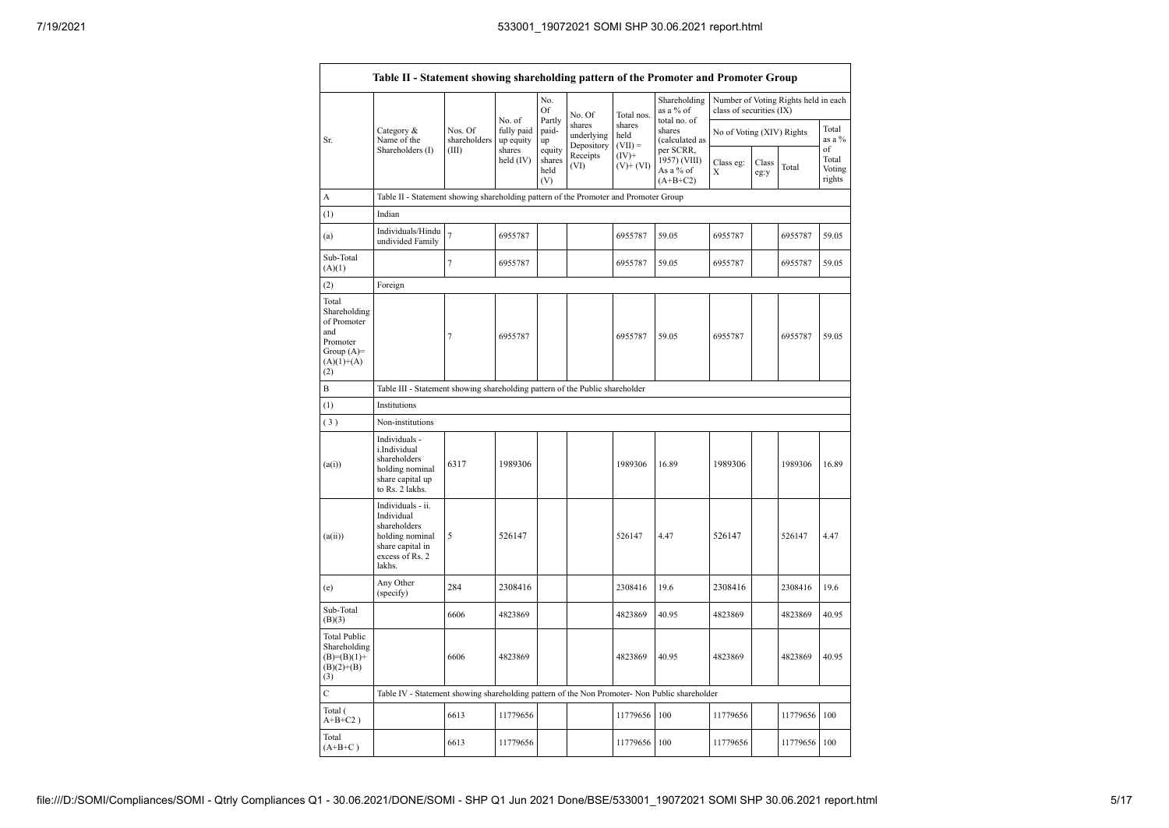|                                                                                                | Table II - Statement showing shareholding pattern of the Promoter and Promoter Group                                |                         |                                   |                                 |                                    |                             |                                                      |                           |               |                                      |                           |
|------------------------------------------------------------------------------------------------|---------------------------------------------------------------------------------------------------------------------|-------------------------|-----------------------------------|---------------------------------|------------------------------------|-----------------------------|------------------------------------------------------|---------------------------|---------------|--------------------------------------|---------------------------|
|                                                                                                |                                                                                                                     |                         |                                   | No.<br>Of                       | No. Of                             | Total nos.                  | Shareholding<br>as a % of                            | class of securities (IX)  |               | Number of Voting Rights held in each |                           |
| Sr.                                                                                            | Category &<br>Name of the                                                                                           | Nos. Of<br>shareholders | No. of<br>fully paid<br>up equity | Partly<br>paid-<br>up           | shares<br>underlying<br>Depository | shares<br>held<br>$(VII) =$ | total no. of<br>shares<br>(calculated as             | No of Voting (XIV) Rights |               |                                      | Total<br>as a %<br>of     |
|                                                                                                | Shareholders (I)                                                                                                    | (III)                   | shares<br>held (IV)               | equity<br>shares<br>held<br>(V) | Receipts<br>(VI)                   | $(IV)+$<br>$(V)$ + $(VI)$   | per SCRR,<br>1957) (VIII)<br>As a % of<br>$(A+B+C2)$ | Class eg:<br>X            | Class<br>eg:y | Total                                | Total<br>Voting<br>rights |
| А                                                                                              | Table II - Statement showing shareholding pattern of the Promoter and Promoter Group                                |                         |                                   |                                 |                                    |                             |                                                      |                           |               |                                      |                           |
| (1)                                                                                            | Indian                                                                                                              |                         |                                   |                                 |                                    |                             |                                                      |                           |               |                                      |                           |
| (a)                                                                                            | Individuals/Hindu<br>undivided Family                                                                               | $\overline{7}$          | 6955787                           |                                 |                                    | 6955787                     | 59.05                                                | 6955787                   |               | 6955787                              | 59.05                     |
| Sub-Total<br>(A)(1)                                                                            |                                                                                                                     | $\overline{7}$          | 6955787                           |                                 |                                    | 6955787                     | 59.05                                                | 6955787                   |               | 6955787                              | 59.05                     |
| (2)                                                                                            | Foreign                                                                                                             |                         |                                   |                                 |                                    |                             |                                                      |                           |               |                                      |                           |
| Total<br>Shareholding<br>of Promoter<br>and<br>Promoter<br>Group $(A)=$<br>$(A)(1)+(A)$<br>(2) |                                                                                                                     | $\tau$                  | 6955787                           |                                 |                                    | 6955787                     | 59.05                                                | 6955787                   |               | 6955787                              | 59.05                     |
| B                                                                                              | Table III - Statement showing shareholding pattern of the Public shareholder                                        |                         |                                   |                                 |                                    |                             |                                                      |                           |               |                                      |                           |
| (1)                                                                                            | Institutions                                                                                                        |                         |                                   |                                 |                                    |                             |                                                      |                           |               |                                      |                           |
| (3)                                                                                            | Non-institutions                                                                                                    |                         |                                   |                                 |                                    |                             |                                                      |                           |               |                                      |                           |
| (a(i))                                                                                         | Individuals -<br>i.Individual<br>shareholders<br>holding nominal<br>share capital up<br>to Rs. 2 lakhs.             | 6317                    | 1989306                           |                                 |                                    | 1989306                     | 16.89                                                | 1989306                   |               | 1989306                              | 16.89                     |
| (a(ii))                                                                                        | Individuals - ii.<br>Individual<br>shareholders<br>holding nominal<br>share capital in<br>excess of Rs. 2<br>lakhs. | 5                       | 526147                            |                                 |                                    | 526147                      | 4.47                                                 | 526147                    |               | 526147                               | 4.47                      |
| (e)                                                                                            | Any Other<br>(specify)                                                                                              | 284                     | 2308416                           |                                 |                                    | 2308416                     | 19.6                                                 | 2308416                   |               | 2308416                              | 19.6                      |
| Sub-Total<br>(B)(3)                                                                            |                                                                                                                     | 6606                    | 4823869                           |                                 |                                    | 4823869                     | 40.95                                                | 4823869                   |               | 4823869                              | 40.95                     |
| <b>Total Public</b><br>Shareholding<br>$(B)= (B)(1) +$<br>$(B)(2)+(B)$<br>(3)                  |                                                                                                                     | 6606                    | 4823869                           |                                 |                                    | 4823869                     | 40.95                                                | 4823869                   |               | 4823869                              | 40.95                     |
| $\overline{C}$                                                                                 | Table IV - Statement showing shareholding pattern of the Non Promoter- Non Public shareholder                       |                         |                                   |                                 |                                    |                             |                                                      |                           |               |                                      |                           |
| Total (<br>$A+B+C2$ )                                                                          |                                                                                                                     | 6613                    | 11779656                          |                                 |                                    | 11779656                    | 100                                                  | 11779656                  |               | 11779656                             | 100                       |
| Total<br>$(A+B+C)$                                                                             |                                                                                                                     | 6613                    | 11779656                          |                                 |                                    | 11779656                    | 100                                                  | 11779656                  |               | 11779656                             | 100                       |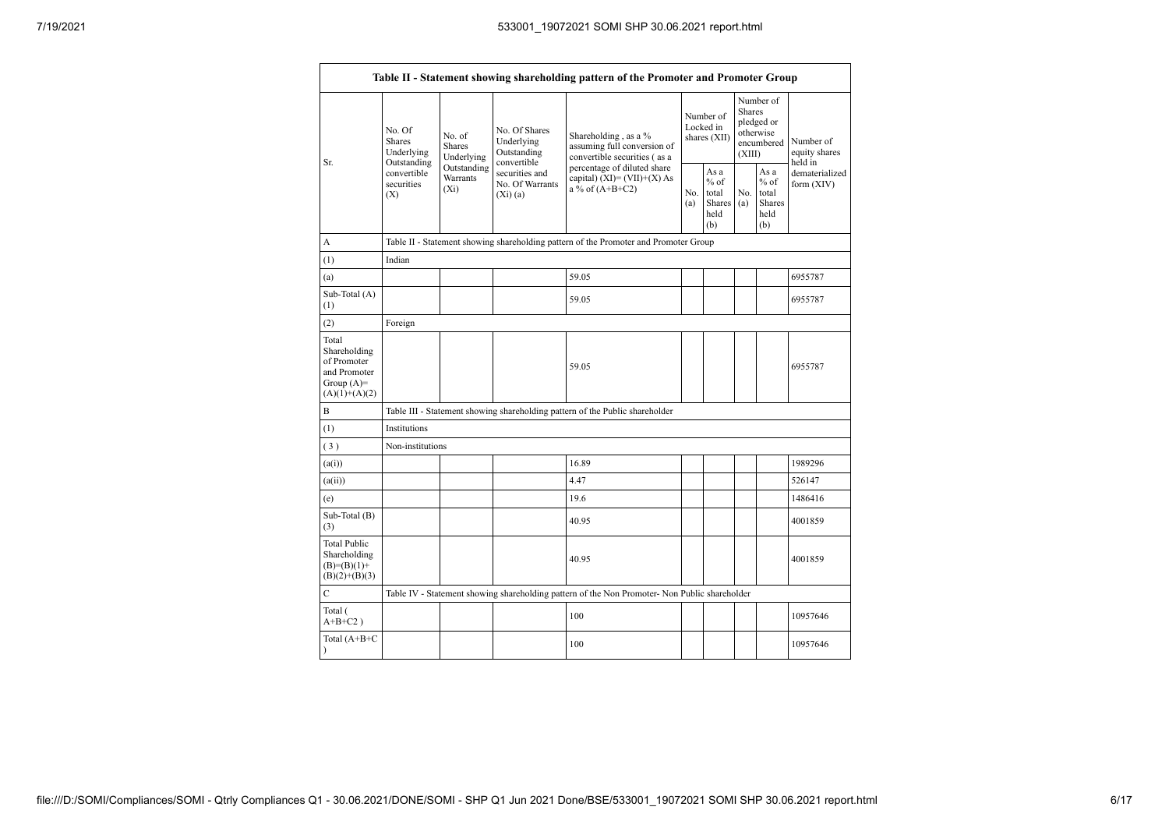| Table II - Statement showing shareholding pattern of the Promoter and Promoter Group    |                                                                                          |                                           |                                                                                                           |                                                                                               |                                        |                                                         |                                                                               |                                                          |                                       |
|-----------------------------------------------------------------------------------------|------------------------------------------------------------------------------------------|-------------------------------------------|-----------------------------------------------------------------------------------------------------------|-----------------------------------------------------------------------------------------------|----------------------------------------|---------------------------------------------------------|-------------------------------------------------------------------------------|----------------------------------------------------------|---------------------------------------|
| Sr.                                                                                     | No. Of<br><b>Shares</b><br>Underlying<br>Outstanding<br>convertible<br>securities<br>(X) | No. of<br><b>Shares</b><br>Underlying     | No. Of Shares<br>Underlying<br>Outstanding<br>convertible<br>securities and<br>No. Of Warrants<br>(Xi)(a) | Shareholding, as a %<br>assuming full conversion of<br>convertible securities (as a           | Number of<br>Locked in<br>shares (XII) |                                                         | Number of<br><b>Shares</b><br>pledged or<br>otherwise<br>encumbered<br>(XIII) |                                                          | Number of<br>equity shares<br>held in |
|                                                                                         |                                                                                          | Outstanding<br><b>Warrants</b><br>$(X_i)$ |                                                                                                           | percentage of diluted share<br>capital) $(XI) = (VII)+(X) As$<br>a % of $(A+B+C2)$            |                                        | As a<br>$%$ of<br>total<br><b>Shares</b><br>held<br>(b) | No.<br>(a)                                                                    | As a<br>$\%$ of<br>total<br><b>Shares</b><br>held<br>(b) | dematerialized<br>form (XIV)          |
| A                                                                                       |                                                                                          |                                           |                                                                                                           | Table II - Statement showing shareholding pattern of the Promoter and Promoter Group          |                                        |                                                         |                                                                               |                                                          |                                       |
| (1)                                                                                     | Indian                                                                                   |                                           |                                                                                                           |                                                                                               |                                        |                                                         |                                                                               |                                                          |                                       |
| (a)                                                                                     |                                                                                          |                                           |                                                                                                           | 59.05                                                                                         |                                        |                                                         |                                                                               |                                                          | 6955787                               |
| Sub-Total (A)<br>(1)                                                                    |                                                                                          |                                           |                                                                                                           | 59.05                                                                                         |                                        |                                                         |                                                                               |                                                          | 6955787                               |
| (2)                                                                                     | Foreign                                                                                  |                                           |                                                                                                           |                                                                                               |                                        |                                                         |                                                                               |                                                          |                                       |
| Total<br>Shareholding<br>of Promoter<br>and Promoter<br>Group $(A)=$<br>$(A)(1)+(A)(2)$ |                                                                                          |                                           |                                                                                                           | 59.05                                                                                         |                                        |                                                         |                                                                               |                                                          | 6955787                               |
| $\, {\bf B}$                                                                            |                                                                                          |                                           |                                                                                                           | Table III - Statement showing shareholding pattern of the Public shareholder                  |                                        |                                                         |                                                                               |                                                          |                                       |
| (1)                                                                                     | Institutions                                                                             |                                           |                                                                                                           |                                                                                               |                                        |                                                         |                                                                               |                                                          |                                       |
| (3)                                                                                     | Non-institutions                                                                         |                                           |                                                                                                           |                                                                                               |                                        |                                                         |                                                                               |                                                          |                                       |
| (a(i))                                                                                  |                                                                                          |                                           |                                                                                                           | 16.89                                                                                         |                                        |                                                         |                                                                               |                                                          | 1989296                               |
| (a(ii))                                                                                 |                                                                                          |                                           |                                                                                                           | 4.47                                                                                          |                                        |                                                         |                                                                               |                                                          | 526147                                |
| (e)                                                                                     |                                                                                          |                                           |                                                                                                           | 19.6                                                                                          |                                        |                                                         |                                                                               |                                                          | 1486416                               |
| Sub-Total (B)<br>(3)                                                                    |                                                                                          |                                           |                                                                                                           | 40.95                                                                                         |                                        |                                                         |                                                                               |                                                          | 4001859                               |
| <b>Total Public</b><br>Shareholding<br>$(B)= (B)(1) +$<br>$(B)(2)+(B)(3)$               |                                                                                          |                                           |                                                                                                           | 40.95                                                                                         |                                        |                                                         |                                                                               |                                                          | 4001859                               |
| C                                                                                       |                                                                                          |                                           |                                                                                                           | Table IV - Statement showing shareholding pattern of the Non Promoter- Non Public shareholder |                                        |                                                         |                                                                               |                                                          |                                       |
| Total (<br>$A+B+C2$ )                                                                   |                                                                                          |                                           |                                                                                                           | 100                                                                                           |                                        |                                                         |                                                                               |                                                          | 10957646                              |
| Total (A+B+C<br>$\lambda$                                                               |                                                                                          |                                           |                                                                                                           | 100                                                                                           |                                        |                                                         |                                                                               |                                                          | 10957646                              |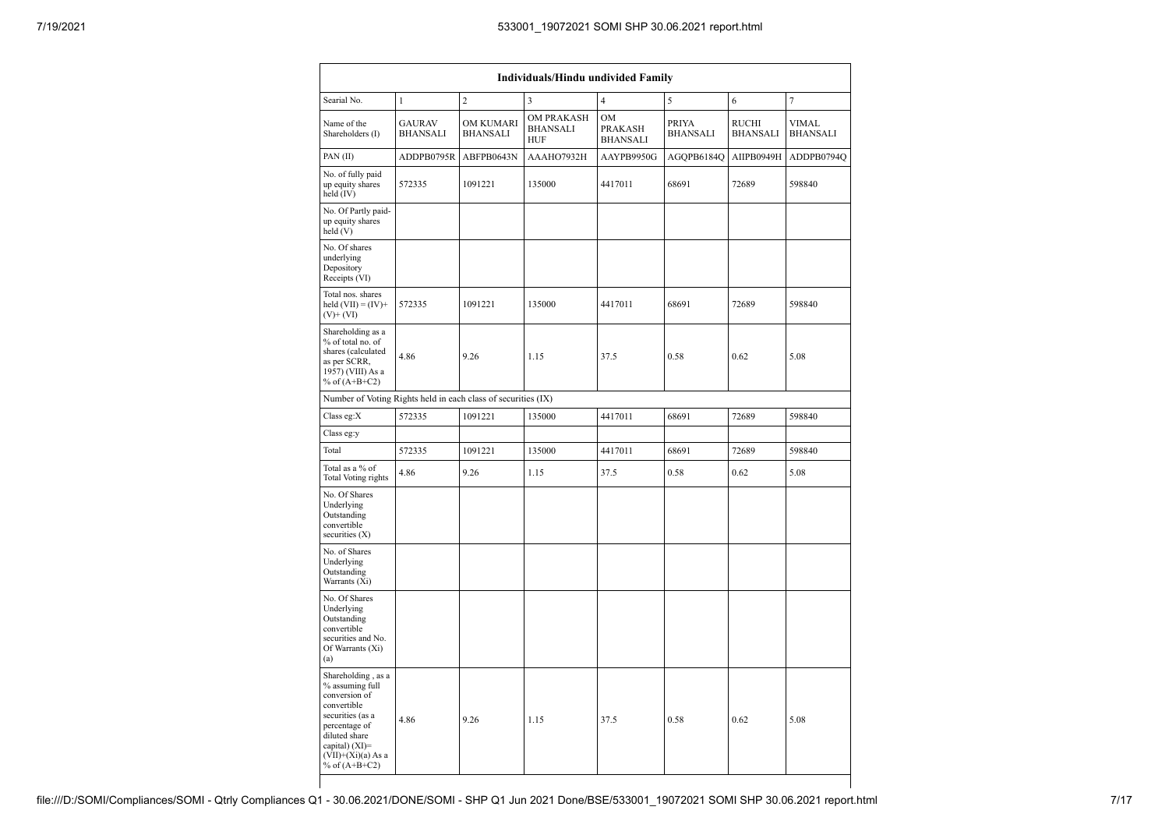| <b>Individuals/Hindu undivided Family</b>                                                                                                                                                |                                  |                              |                                                    |                                                |                                 |                                 |                                 |  |  |
|------------------------------------------------------------------------------------------------------------------------------------------------------------------------------------------|----------------------------------|------------------------------|----------------------------------------------------|------------------------------------------------|---------------------------------|---------------------------------|---------------------------------|--|--|
| Searial No.                                                                                                                                                                              | 1                                | $\overline{c}$               | 3                                                  | $\overline{4}$                                 | 5                               | 6                               | $\overline{7}$                  |  |  |
| Name of the<br>Shareholders (I)                                                                                                                                                          | <b>GAURAV</b><br><b>BHANSALI</b> | OM KUMARI<br><b>BHANSALI</b> | <b>OM PRAKASH</b><br><b>BHANSALI</b><br><b>HUF</b> | <b>OM</b><br><b>PRAKASH</b><br><b>BHANSALI</b> | <b>PRIYA</b><br><b>BHANSALI</b> | <b>RUCHI</b><br><b>BHANSALI</b> | <b>VIMAL</b><br><b>BHANSALI</b> |  |  |
| PAN(II)                                                                                                                                                                                  | ADDPB0795R                       | ABFPB0643N                   | AAAHO7932H                                         | AAYPB9950G                                     | AGQPB6184Q                      | AIIPB0949H                      | ADDPB0794Q                      |  |  |
| No. of fully paid<br>up equity shares<br>held (IV)                                                                                                                                       | 572335                           | 1091221                      | 135000                                             | 4417011                                        | 68691                           | 72689                           | 598840                          |  |  |
| No. Of Partly paid-<br>up equity shares<br>held (V)                                                                                                                                      |                                  |                              |                                                    |                                                |                                 |                                 |                                 |  |  |
| No. Of shares<br>underlying<br>Depository<br>Receipts (VI)                                                                                                                               |                                  |                              |                                                    |                                                |                                 |                                 |                                 |  |  |
| Total nos. shares<br>held $(VII) = (IV) +$<br>$(V)$ + $(VI)$                                                                                                                             | 572335                           | 1091221                      | 135000                                             | 4417011                                        | 68691                           | 72689                           | 598840                          |  |  |
| Shareholding as a<br>% of total no. of<br>shares (calculated<br>as per SCRR,<br>1957) (VIII) As a<br>% of $(A+B+C2)$                                                                     | 4.86                             | 9.26                         | 1.15                                               | 37.5                                           | 0.58                            | 0.62                            | $5.08\,$                        |  |  |
| Number of Voting Rights held in each class of securities (IX)                                                                                                                            |                                  |                              |                                                    |                                                |                                 |                                 |                                 |  |  |
| Class eg:X                                                                                                                                                                               | 572335                           | 1091221                      | 135000                                             | 4417011                                        | 68691                           | 72689                           | 598840                          |  |  |
| Class eg:y                                                                                                                                                                               |                                  |                              |                                                    |                                                |                                 |                                 |                                 |  |  |
| Total                                                                                                                                                                                    | 572335                           | 1091221                      | 135000                                             | 4417011                                        | 68691                           | 72689                           | 598840                          |  |  |
| Total as a % of<br>Total Voting rights                                                                                                                                                   | 4.86                             | 9.26                         | 1.15                                               | 37.5                                           | 0.58                            | 0.62                            | 5.08                            |  |  |
| No. Of Shares<br>Underlying<br>Outstanding<br>convertible<br>securities (X)                                                                                                              |                                  |                              |                                                    |                                                |                                 |                                 |                                 |  |  |
| No. of Shares<br>Underlying<br>Outstanding<br>Warrants (Xi)                                                                                                                              |                                  |                              |                                                    |                                                |                                 |                                 |                                 |  |  |
| No. Of Shares<br>Underlying<br>Outstanding<br>convertible<br>securities and No.<br>Of Warrants (Xi)<br>(a)                                                                               |                                  |                              |                                                    |                                                |                                 |                                 |                                 |  |  |
| Shareholding, as a<br>% assuming full<br>conversion of<br>convertible<br>securities (as a<br>percentage of<br>diluted share<br>capital) (XI)=<br>$(VII)+(Xi)(a) As a$<br>% of $(A+B+C2)$ | 4.86                             | 9.26                         | 1.15                                               | 37.5                                           | 0.58                            | 0.62                            | 5.08                            |  |  |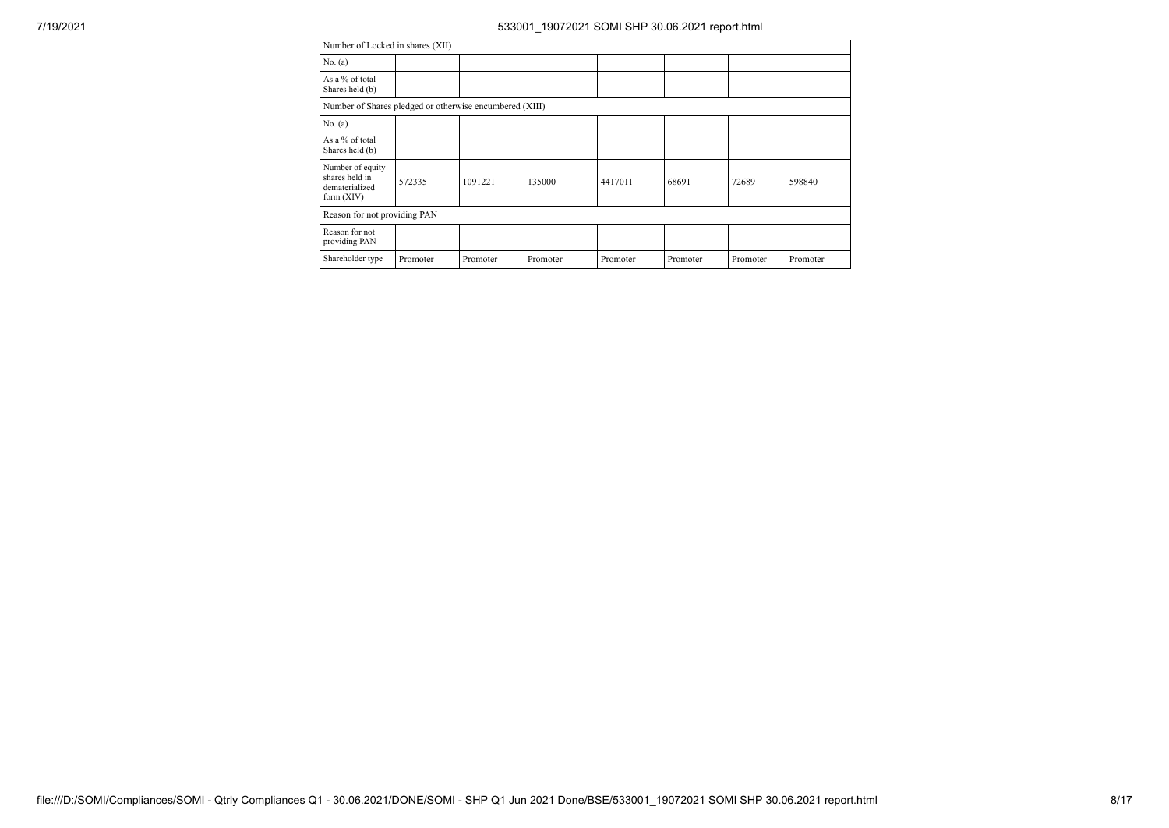| Number of Locked in shares (XII)                                     |          |          |          |          |          |          |          |  |  |  |
|----------------------------------------------------------------------|----------|----------|----------|----------|----------|----------|----------|--|--|--|
| No. $(a)$                                                            |          |          |          |          |          |          |          |  |  |  |
| As a % of total<br>Shares held (b)                                   |          |          |          |          |          |          |          |  |  |  |
| Number of Shares pledged or otherwise encumbered (XIII)              |          |          |          |          |          |          |          |  |  |  |
| No. (a)                                                              |          |          |          |          |          |          |          |  |  |  |
| As a % of total<br>Shares held (b)                                   |          |          |          |          |          |          |          |  |  |  |
| Number of equity<br>shares held in<br>dematerialized<br>form $(XIV)$ | 572335   | 1091221  | 135000   | 4417011  | 68691    | 72689    | 598840   |  |  |  |
| Reason for not providing PAN                                         |          |          |          |          |          |          |          |  |  |  |
| Reason for not<br>providing PAN                                      |          |          |          |          |          |          |          |  |  |  |
| Shareholder type                                                     | Promoter | Promoter | Promoter | Promoter | Promoter | Promoter | Promoter |  |  |  |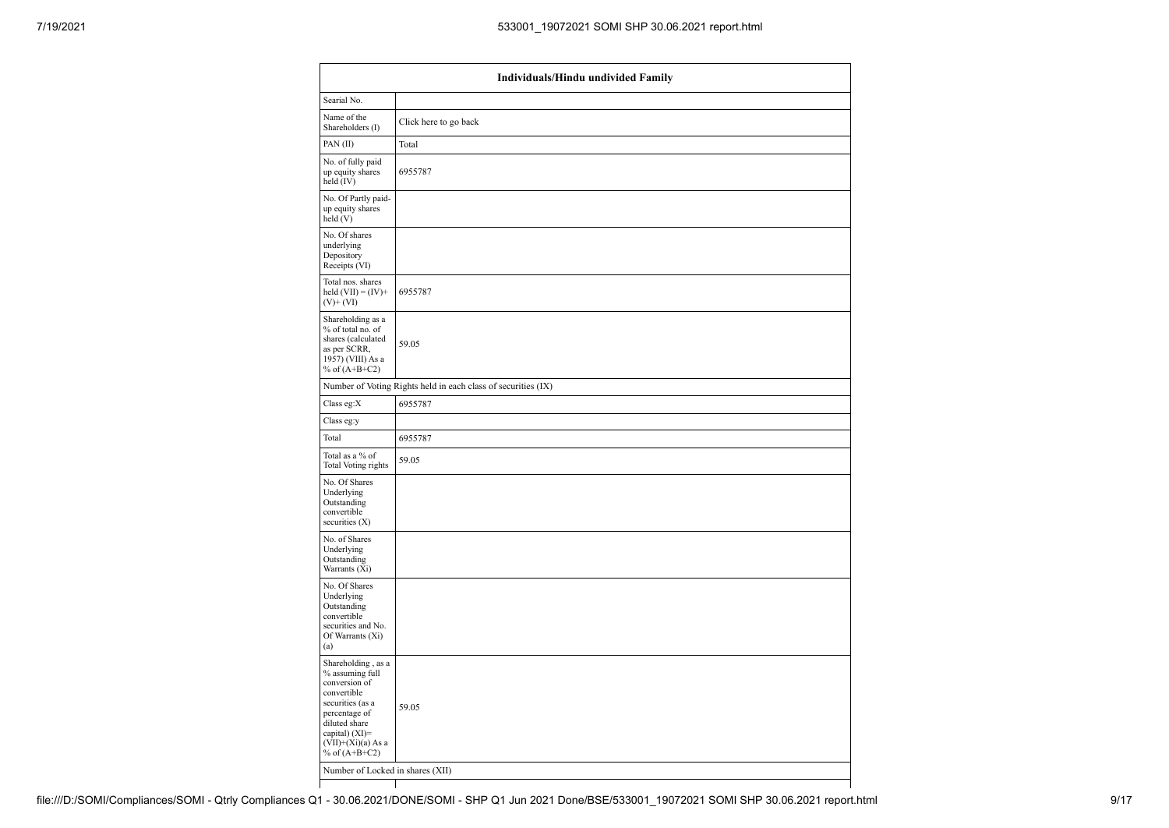| Individuals/Hindu undivided Family                                                                                                                                                       |                                                               |  |  |  |  |  |  |
|------------------------------------------------------------------------------------------------------------------------------------------------------------------------------------------|---------------------------------------------------------------|--|--|--|--|--|--|
| Searial No.                                                                                                                                                                              |                                                               |  |  |  |  |  |  |
| Name of the<br>Shareholders (I)                                                                                                                                                          | Click here to go back                                         |  |  |  |  |  |  |
| PAN(II)                                                                                                                                                                                  | Total                                                         |  |  |  |  |  |  |
| No. of fully paid<br>up equity shares<br>held $(IV)$                                                                                                                                     | 6955787                                                       |  |  |  |  |  |  |
| No. Of Partly paid-<br>up equity shares<br>held (V)                                                                                                                                      |                                                               |  |  |  |  |  |  |
| No. Of shares<br>underlying<br>Depository<br>Receipts (VI)                                                                                                                               |                                                               |  |  |  |  |  |  |
| Total nos. shares<br>held $(VII) = (IV) +$<br>$(V)$ + $(VI)$                                                                                                                             | 6955787                                                       |  |  |  |  |  |  |
| Shareholding as a<br>% of total no. of<br>shares (calculated<br>as per SCRR,<br>1957) (VIII) As a<br>% of $(A+B+C2)$                                                                     | 59.05                                                         |  |  |  |  |  |  |
|                                                                                                                                                                                          | Number of Voting Rights held in each class of securities (IX) |  |  |  |  |  |  |
| Class eg:X                                                                                                                                                                               | 6955787                                                       |  |  |  |  |  |  |
| Class eg:y                                                                                                                                                                               |                                                               |  |  |  |  |  |  |
| Total                                                                                                                                                                                    | 6955787                                                       |  |  |  |  |  |  |
| Total as a % of<br>Total Voting rights                                                                                                                                                   | 59.05                                                         |  |  |  |  |  |  |
| No. Of Shares<br>Underlying<br>Outstanding<br>convertible<br>securities (X)                                                                                                              |                                                               |  |  |  |  |  |  |
| No. of Shares<br>Underlying<br>Outstanding<br>Warrants (Xi)                                                                                                                              |                                                               |  |  |  |  |  |  |
| No. Of Shares<br>Underlying<br>Outstanding<br>convertible<br>securities and No.<br>Of Warrants (Xi)<br>(a)                                                                               |                                                               |  |  |  |  |  |  |
| Shareholding, as a<br>% assuming full<br>conversion of<br>convertible<br>securities (as a<br>percentage of<br>diluted share<br>capital) (XI)=<br>$(VII)+(Xi)(a)$ As a<br>% of $(A+B+C2)$ | 59.05                                                         |  |  |  |  |  |  |
| Number of Locked in shares (XII)                                                                                                                                                         |                                                               |  |  |  |  |  |  |
|                                                                                                                                                                                          |                                                               |  |  |  |  |  |  |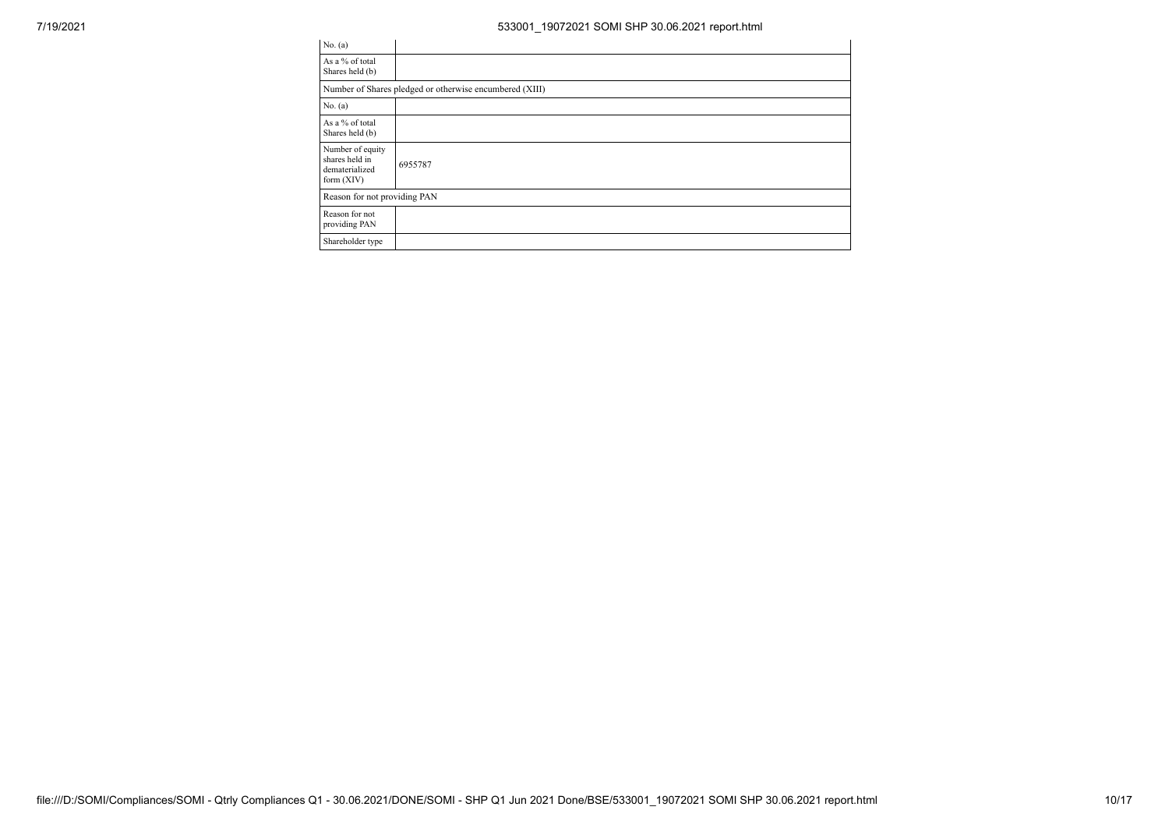| No. $(a)$                                                            |                                                         |
|----------------------------------------------------------------------|---------------------------------------------------------|
| As a % of total<br>Shares held (b)                                   |                                                         |
|                                                                      | Number of Shares pledged or otherwise encumbered (XIII) |
| No. (a)                                                              |                                                         |
| As a % of total<br>Shares held (b)                                   |                                                         |
| Number of equity<br>shares held in<br>dematerialized<br>form $(XIV)$ | 6955787                                                 |
| Reason for not providing PAN                                         |                                                         |
| Reason for not<br>providing PAN                                      |                                                         |
| Shareholder type                                                     |                                                         |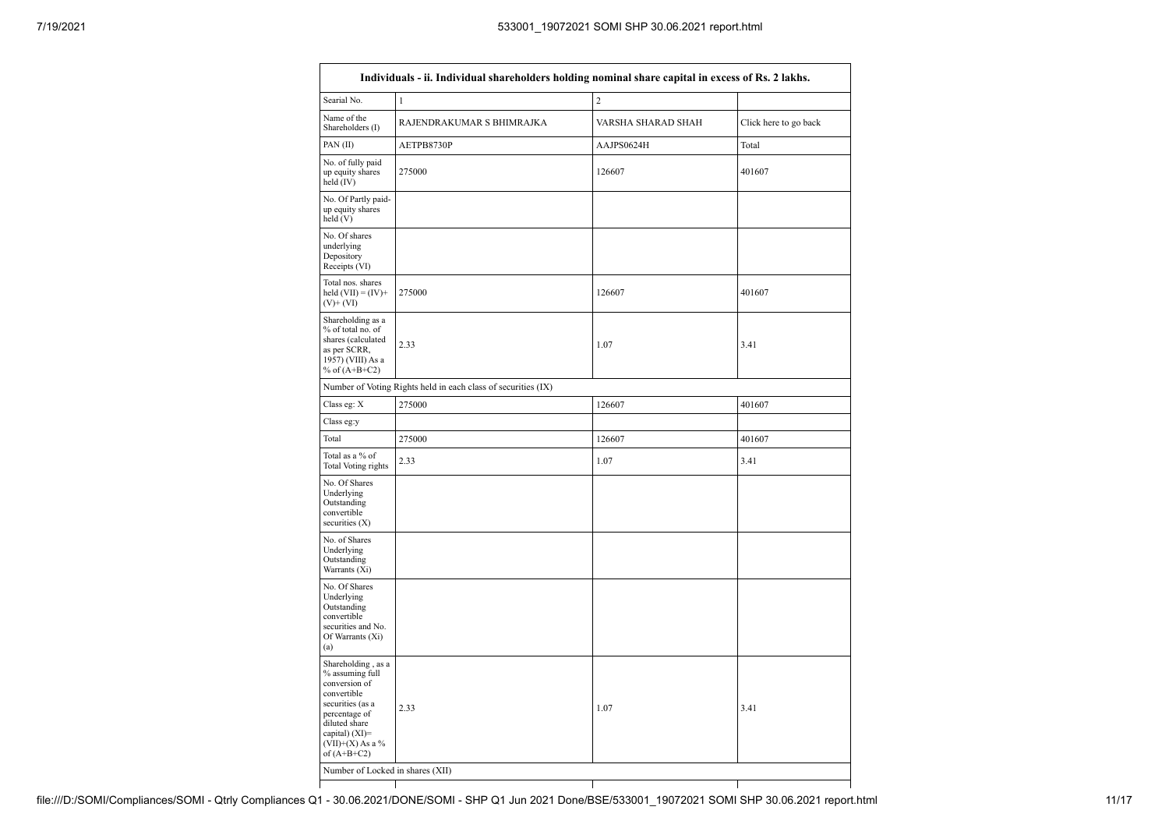| Searial No.                                                                                                                                                                             | $\mathbf{1}$                                                  | $\overline{c}$     |                       |
|-----------------------------------------------------------------------------------------------------------------------------------------------------------------------------------------|---------------------------------------------------------------|--------------------|-----------------------|
| Name of the<br>Shareholders (I)                                                                                                                                                         | RAJENDRAKUMAR S BHIMRAJKA                                     | VARSHA SHARAD SHAH | Click here to go back |
| PAN(II)                                                                                                                                                                                 | AETPB8730P                                                    | AAJPS0624H         | Total                 |
| No. of fully paid<br>up equity shares<br>held (IV)                                                                                                                                      | 275000                                                        | 126607             | 401607                |
| No. Of Partly paid-<br>up equity shares<br>held (V)                                                                                                                                     |                                                               |                    |                       |
| No. Of shares<br>underlying<br>Depository<br>Receipts (VI)                                                                                                                              |                                                               |                    |                       |
| Total nos. shares<br>held $(VII) = (IV) +$<br>$(V)$ + $(VI)$                                                                                                                            | 275000                                                        | 126607             | 401607                |
| Shareholding as a<br>% of total no. of<br>shares (calculated<br>as per SCRR,<br>1957) (VIII) As a<br>% of $(A+B+C2)$                                                                    | 2.33                                                          | 1.07               | 3.41                  |
|                                                                                                                                                                                         | Number of Voting Rights held in each class of securities (IX) |                    |                       |
| Class eg: X                                                                                                                                                                             | 275000                                                        | 126607             | 401607                |
| Class eg:y                                                                                                                                                                              |                                                               |                    |                       |
| Total                                                                                                                                                                                   | 275000                                                        | 126607             | 401607                |
| Total as a % of<br>Total Voting rights                                                                                                                                                  | 2.33                                                          | 1.07               | 3.41                  |
| No. Of Shares<br>Underlying<br>Outstanding<br>convertible<br>securities $(X)$                                                                                                           |                                                               |                    |                       |
| No. of Shares<br>Underlying<br>Outstanding<br>Warrants (Xi)                                                                                                                             |                                                               |                    |                       |
| No. Of Shares<br>Underlying<br>Outstanding<br>convertible<br>securities and No.<br>Of Warrants (Xi)<br>(a)                                                                              |                                                               |                    |                       |
| Shareholding, as a<br>% assuming full<br>conversion of<br>convertible<br>securities (as a<br>percentage of<br>diluted share<br>capital) $(XI)=$<br>(VII)+(X) As a $\%$<br>of $(A+B+C2)$ | 2.33                                                          | 1.07               | 3.41                  |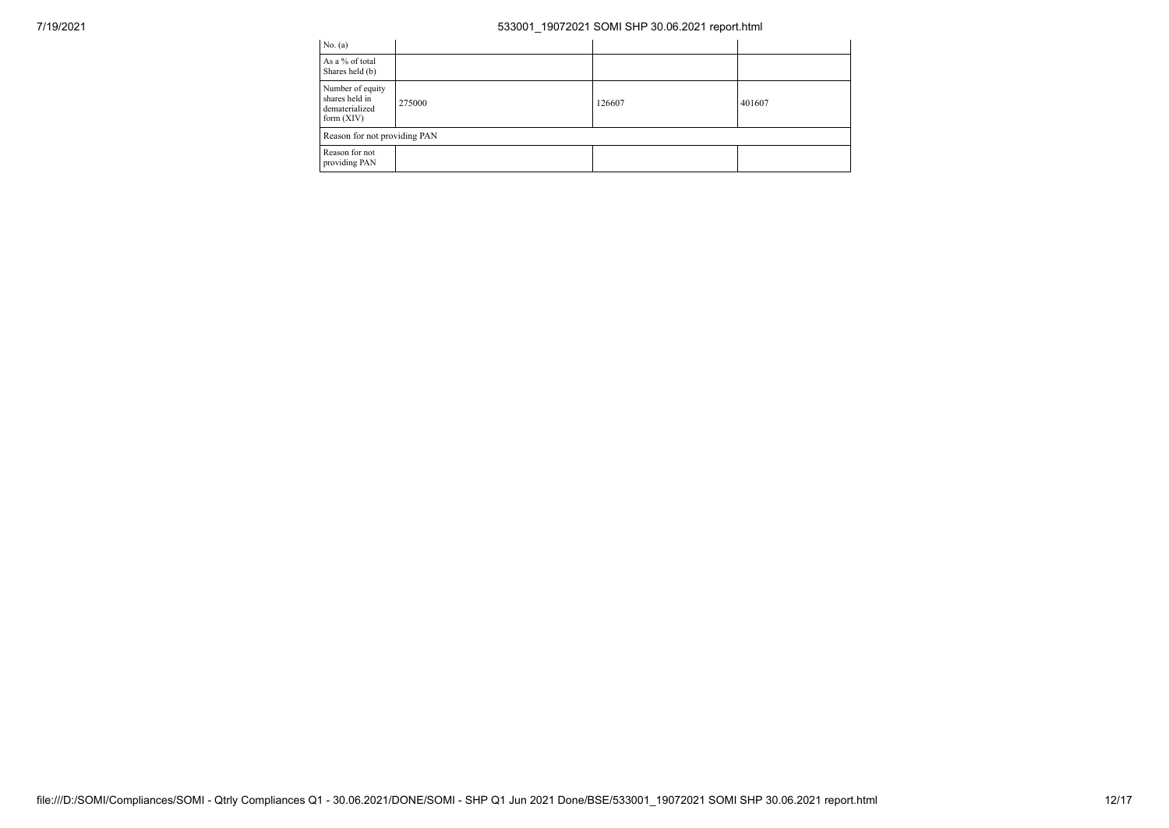| No. (a)                                                              |        |        |        |  |  |  |  |  |
|----------------------------------------------------------------------|--------|--------|--------|--|--|--|--|--|
| As a % of total<br>Shares held (b)                                   |        |        |        |  |  |  |  |  |
| Number of equity<br>shares held in<br>dematerialized<br>form $(XIV)$ | 275000 | 126607 | 401607 |  |  |  |  |  |
| Reason for not providing PAN                                         |        |        |        |  |  |  |  |  |
| Reason for not<br>providing PAN                                      |        |        |        |  |  |  |  |  |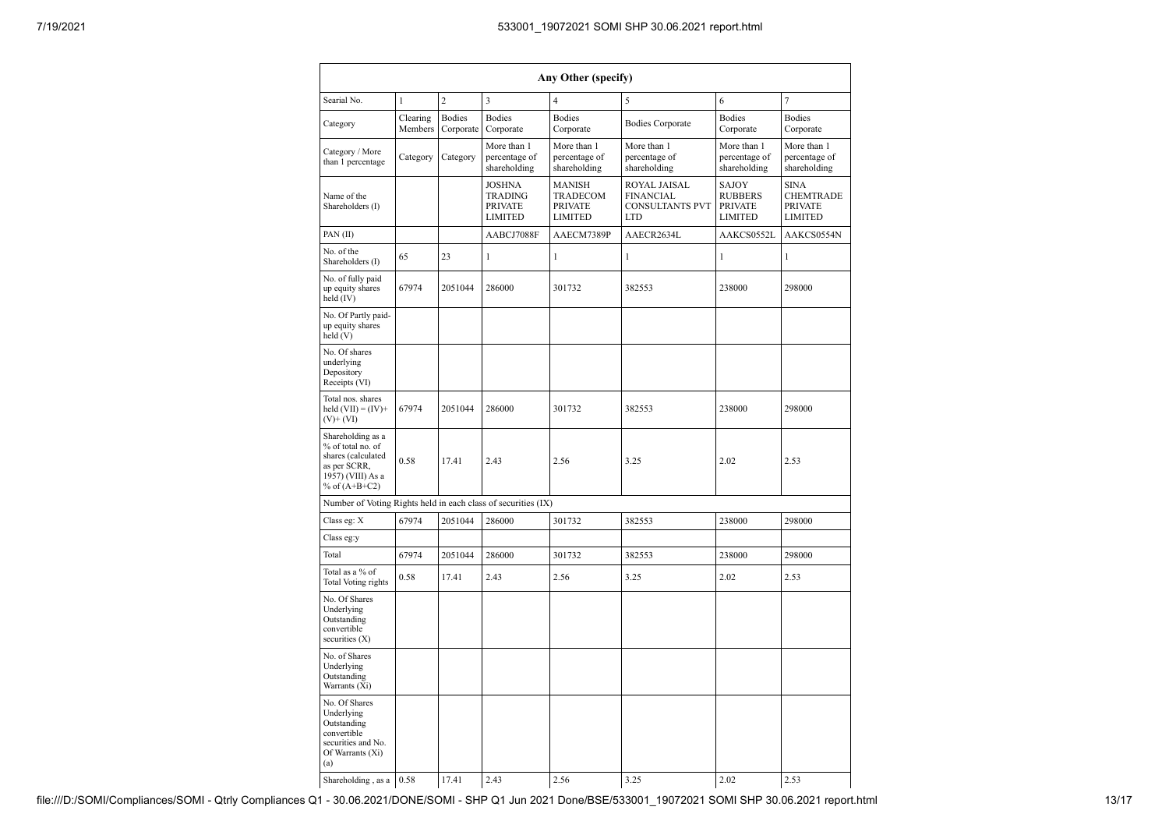|                                                                                                                      |                      |                                                                     |                                                                                                                                           | Any Other (specify)                          |                                                             |                                                                     |                                              |
|----------------------------------------------------------------------------------------------------------------------|----------------------|---------------------------------------------------------------------|-------------------------------------------------------------------------------------------------------------------------------------------|----------------------------------------------|-------------------------------------------------------------|---------------------------------------------------------------------|----------------------------------------------|
| Searial No.                                                                                                          | $\mathbf{1}$         | $\overline{c}$                                                      | 3                                                                                                                                         | $\overline{4}$                               | 5                                                           | 6                                                                   | 7                                            |
| <b>Bodies</b><br>Clearing<br>Category<br>Members<br>Corporate                                                        |                      | <b>Bodies</b><br>Corporate                                          | <b>Bodies</b><br>Corporate                                                                                                                | <b>Bodies Corporate</b>                      | <b>Bodies</b><br>Corporate                                  | <b>Bodies</b><br>Corporate                                          |                                              |
| Category / More<br>than 1 percentage                                                                                 | Category<br>Category |                                                                     | More than 1<br>percentage of<br>shareholding                                                                                              | More than 1<br>percentage of<br>shareholding | More than 1<br>percentage of<br>shareholding                | More than 1<br>percentage of<br>shareholding                        | More than 1<br>percentage of<br>shareholding |
| Name of the<br>Shareholders (I)                                                                                      |                      | <b>JOSHNA</b><br><b>TRADING</b><br><b>PRIVATE</b><br><b>LIMITED</b> | <b>MANISH</b><br>ROYAL JAISAL<br>TRADECOM<br><b>FINANCIAL</b><br><b>PRIVATE</b><br><b>CONSULTANTS PVT</b><br><b>LIMITED</b><br><b>LTD</b> |                                              | SAJOY<br><b>RUBBERS</b><br><b>PRIVATE</b><br><b>LIMITED</b> | <b>SINA</b><br><b>CHEMTRADE</b><br><b>PRIVATE</b><br><b>LIMITED</b> |                                              |
| PAN(II)                                                                                                              |                      |                                                                     | AABCJ7088F                                                                                                                                | AAECM7389P                                   | AAECR2634L                                                  | AAKCS0552L                                                          | AAKCS0554N                                   |
| No. of the<br>Shareholders (I)                                                                                       | 65                   | 23                                                                  | 1                                                                                                                                         | 1                                            | 1                                                           | 1                                                                   | 1                                            |
| No. of fully paid<br>up equity shares<br>held (IV)                                                                   | 67974                | 2051044                                                             | 286000                                                                                                                                    | 301732                                       | 382553                                                      | 238000                                                              | 298000                                       |
| No. Of Partly paid-<br>up equity shares<br>held(V)                                                                   |                      |                                                                     |                                                                                                                                           |                                              |                                                             |                                                                     |                                              |
| No. Of shares<br>underlying<br>Depository<br>Receipts (VI)                                                           |                      |                                                                     |                                                                                                                                           |                                              |                                                             |                                                                     |                                              |
| Total nos. shares<br>held $(VII) = (IV) +$<br>$(V)$ + $(VI)$                                                         | 67974                | 2051044                                                             | 286000                                                                                                                                    | 301732                                       | 382553                                                      | 238000                                                              | 298000                                       |
| Shareholding as a<br>% of total no. of<br>shares (calculated<br>as per SCRR,<br>1957) (VIII) As a<br>% of $(A+B+C2)$ | 0.58                 | 17.41                                                               | 2.43                                                                                                                                      | 2.56                                         | 3.25                                                        | 2.02                                                                | 2.53                                         |
| Number of Voting Rights held in each class of securities (IX)                                                        |                      |                                                                     |                                                                                                                                           |                                              |                                                             |                                                                     |                                              |
| Class eg: X                                                                                                          | 67974                | 2051044                                                             | 286000                                                                                                                                    | 301732                                       | 382553                                                      | 238000                                                              | 298000                                       |
| Class eg:y                                                                                                           |                      |                                                                     |                                                                                                                                           |                                              |                                                             |                                                                     |                                              |
| Total                                                                                                                | 67974                | 2051044                                                             | 286000                                                                                                                                    | 301732                                       | 382553                                                      | 238000                                                              | 298000                                       |
| Total as a % of<br><b>Total Voting rights</b>                                                                        | 0.58                 | 17.41                                                               | 2.43                                                                                                                                      | 2.56                                         | 3.25                                                        | 2.02                                                                | 2.53                                         |
| No. Of Shares<br>Underlying<br>Outstanding<br>convertible<br>securities (X)                                          |                      |                                                                     |                                                                                                                                           |                                              |                                                             |                                                                     |                                              |
| No. of Shares<br>Underlying<br>Outstanding<br>Warrants (Xi)                                                          |                      |                                                                     |                                                                                                                                           |                                              |                                                             |                                                                     |                                              |
| No. Of Shares<br>Underlying<br>Outstanding<br>convertible<br>securities and No.<br>Of Warrants (Xi)<br>(a)           |                      |                                                                     |                                                                                                                                           |                                              |                                                             |                                                                     |                                              |
| Shareholding, as a $0.58$                                                                                            |                      | 17.41                                                               | 2.43                                                                                                                                      | 2.56                                         | 3.25                                                        | 2.02                                                                | 2.53                                         |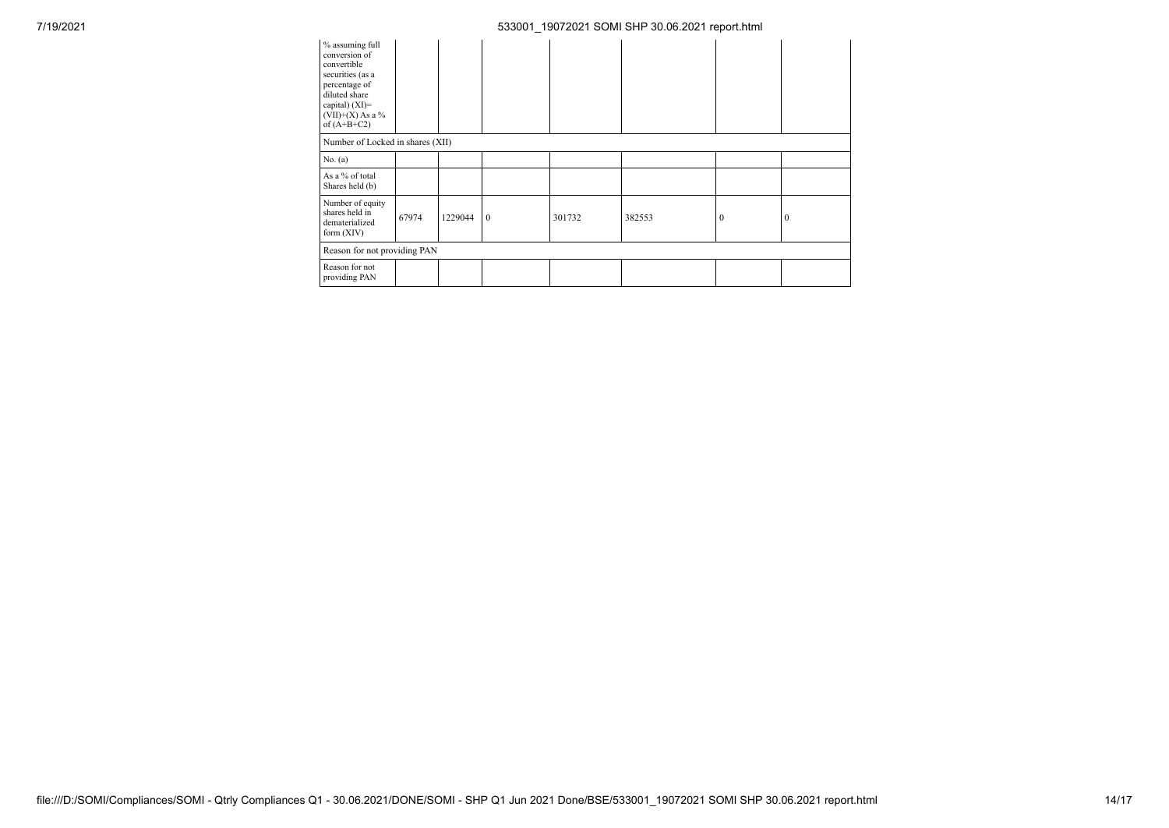| % assuming full<br>conversion of<br>convertible<br>securities (as a<br>percentage of<br>diluted share<br>capital) $(XI)=$<br>$(VII)+(X)$ As a %<br>of $(A+B+C2)$ |       |         |              |        |        |          |          |
|------------------------------------------------------------------------------------------------------------------------------------------------------------------|-------|---------|--------------|--------|--------|----------|----------|
| Number of Locked in shares (XII)                                                                                                                                 |       |         |              |        |        |          |          |
| No. (a)                                                                                                                                                          |       |         |              |        |        |          |          |
| As a % of total<br>Shares held (b)                                                                                                                               |       |         |              |        |        |          |          |
| Number of equity<br>shares held in<br>dematerialized<br>form $(XIV)$                                                                                             | 67974 | 1229044 | $\mathbf{0}$ | 301732 | 382553 | $\bf{0}$ | $\Omega$ |
| Reason for not providing PAN                                                                                                                                     |       |         |              |        |        |          |          |
| Reason for not<br>providing PAN                                                                                                                                  |       |         |              |        |        |          |          |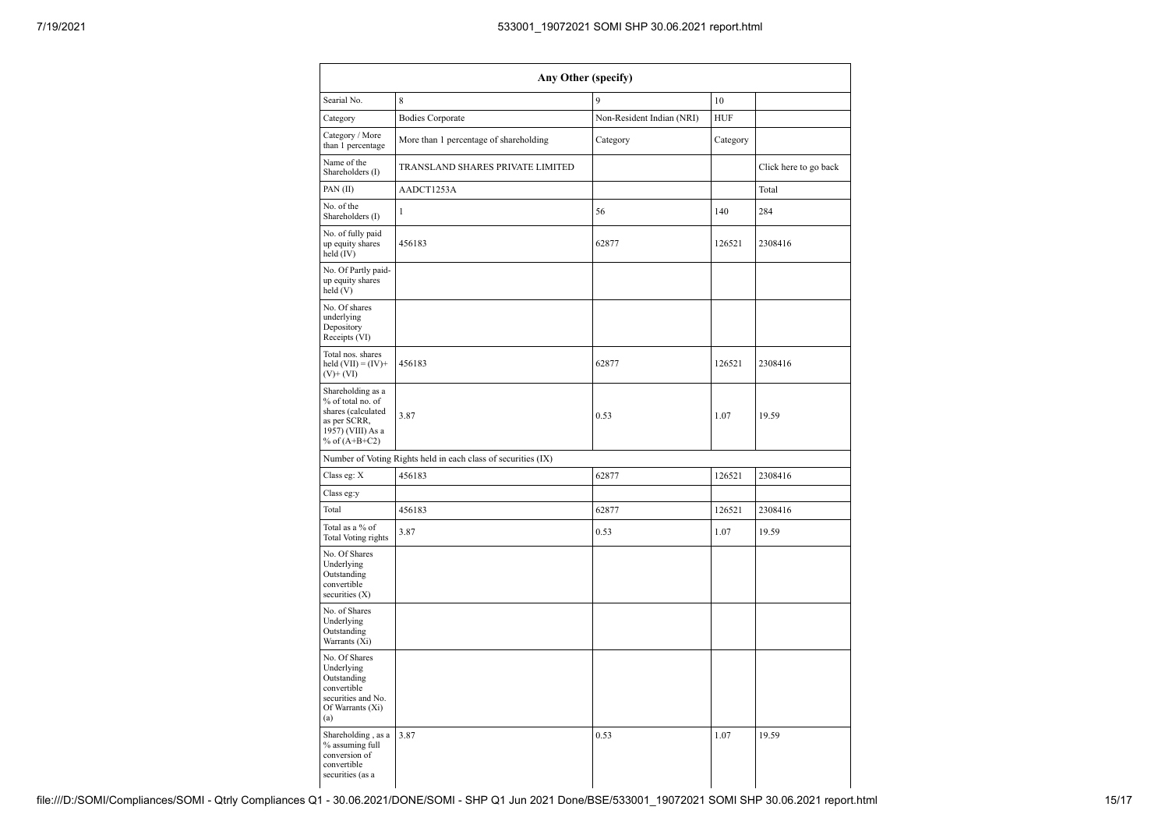| Any Other (specify)                                                                                                  |                                                               |                           |            |                       |  |  |  |  |  |  |  |
|----------------------------------------------------------------------------------------------------------------------|---------------------------------------------------------------|---------------------------|------------|-----------------------|--|--|--|--|--|--|--|
| Searial No.                                                                                                          | 8                                                             | 9                         | 10         |                       |  |  |  |  |  |  |  |
| Category                                                                                                             | <b>Bodies Corporate</b>                                       | Non-Resident Indian (NRI) | <b>HUF</b> |                       |  |  |  |  |  |  |  |
| Category / More<br>than 1 percentage                                                                                 | More than 1 percentage of shareholding                        | Category                  | Category   |                       |  |  |  |  |  |  |  |
| Name of the<br>Shareholders (I)                                                                                      | TRANSLAND SHARES PRIVATE LIMITED                              |                           |            | Click here to go back |  |  |  |  |  |  |  |
| PAN(II)                                                                                                              | AADCT1253A                                                    |                           |            | Total                 |  |  |  |  |  |  |  |
| No. of the<br>Shareholders (I)                                                                                       | $\mathbf{1}$                                                  | 56                        | 140        | 284                   |  |  |  |  |  |  |  |
| No. of fully paid<br>up equity shares<br>held $(IV)$                                                                 | 456183                                                        | 62877                     | 126521     | 2308416               |  |  |  |  |  |  |  |
| No. Of Partly paid-<br>up equity shares<br>held (V)                                                                  |                                                               |                           |            |                       |  |  |  |  |  |  |  |
| No. Of shares<br>underlying<br>Depository<br>Receipts (VI)                                                           |                                                               |                           |            |                       |  |  |  |  |  |  |  |
| Total nos. shares<br>held $(VII) = (IV) +$<br>$(V)+(VI)$                                                             | 456183                                                        | 62877                     | 126521     | 2308416               |  |  |  |  |  |  |  |
| Shareholding as a<br>% of total no. of<br>shares (calculated<br>as per SCRR,<br>1957) (VIII) As a<br>% of $(A+B+C2)$ | 3.87                                                          | 0.53                      | 1.07       | 19.59                 |  |  |  |  |  |  |  |
|                                                                                                                      | Number of Voting Rights held in each class of securities (IX) |                           |            |                       |  |  |  |  |  |  |  |
| Class eg: X                                                                                                          | 456183                                                        | 62877                     | 126521     | 2308416               |  |  |  |  |  |  |  |
| Class eg:y                                                                                                           |                                                               |                           |            |                       |  |  |  |  |  |  |  |
| Total                                                                                                                | 456183                                                        | 62877                     | 126521     | 2308416               |  |  |  |  |  |  |  |
| Total as a % of<br>Total Voting rights                                                                               | 3.87                                                          | 0.53                      | 1.07       | 19.59                 |  |  |  |  |  |  |  |
| No. Of Shares<br>Underlying<br>Outstanding<br>convertible<br>securities $(X)$                                        |                                                               |                           |            |                       |  |  |  |  |  |  |  |
| No. of Shares<br>Underlying<br>Outstanding<br>Warrants (Xi)                                                          |                                                               |                           |            |                       |  |  |  |  |  |  |  |
| No. Of Shares<br>Underlying<br>Outstanding<br>convertible<br>securities and No.<br>Of Warrants (Xi)<br>(a)           |                                                               |                           |            |                       |  |  |  |  |  |  |  |
| Shareholding, as a<br>% assuming full<br>conversion of<br>convertible<br>securities (as a                            | 3.87                                                          | 0.53                      | 1.07       | 19.59                 |  |  |  |  |  |  |  |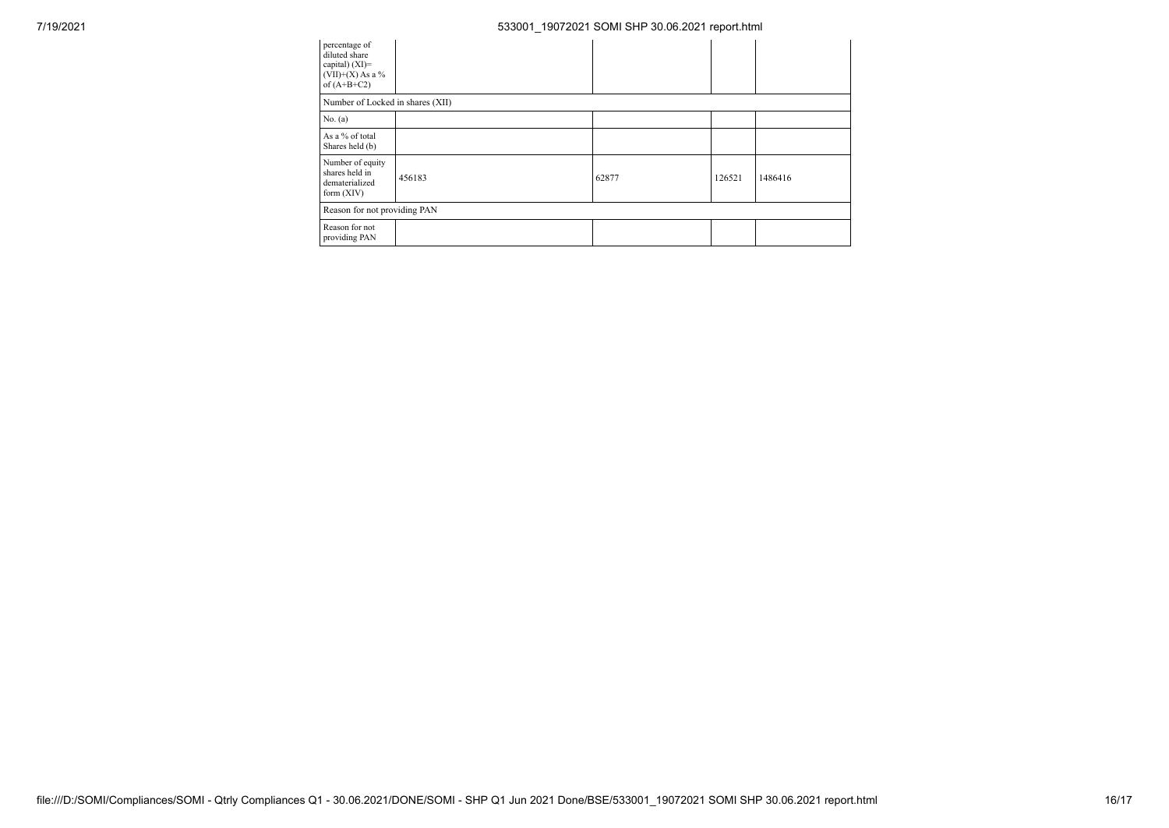| percentage of<br>diluted share<br>capital) $(XI)=$<br>$(VII)+(X)$ As a %<br>of $(A+B+C2)$ |        |       |        |         |  |  |  |  |
|-------------------------------------------------------------------------------------------|--------|-------|--------|---------|--|--|--|--|
| Number of Locked in shares (XII)                                                          |        |       |        |         |  |  |  |  |
| No. (a)                                                                                   |        |       |        |         |  |  |  |  |
| As a % of total<br>Shares held (b)                                                        |        |       |        |         |  |  |  |  |
| Number of equity<br>shares held in<br>dematerialized<br>form $(XIV)$                      | 456183 | 62877 | 126521 | 1486416 |  |  |  |  |
| Reason for not providing PAN                                                              |        |       |        |         |  |  |  |  |
| Reason for not<br>providing PAN                                                           |        |       |        |         |  |  |  |  |